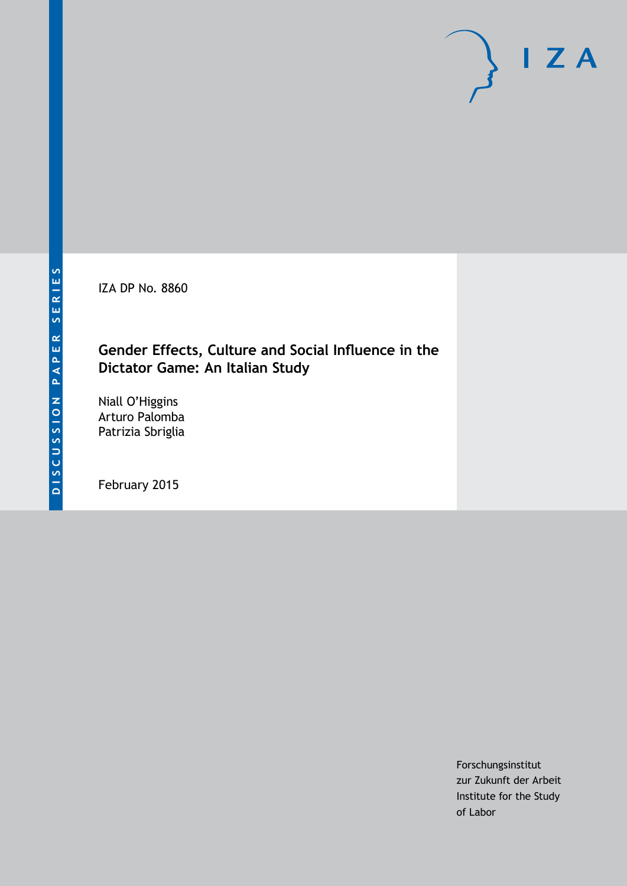IZA DP No. 8860

# **Gender Effects, Culture and Social Influence in the Dictator Game: An Italian Study**

Niall O'Higgins Arturo Palomba Patrizia Sbriglia

February 2015

Forschungsinstitut zur Zukunft der Arbeit Institute for the Study of Labor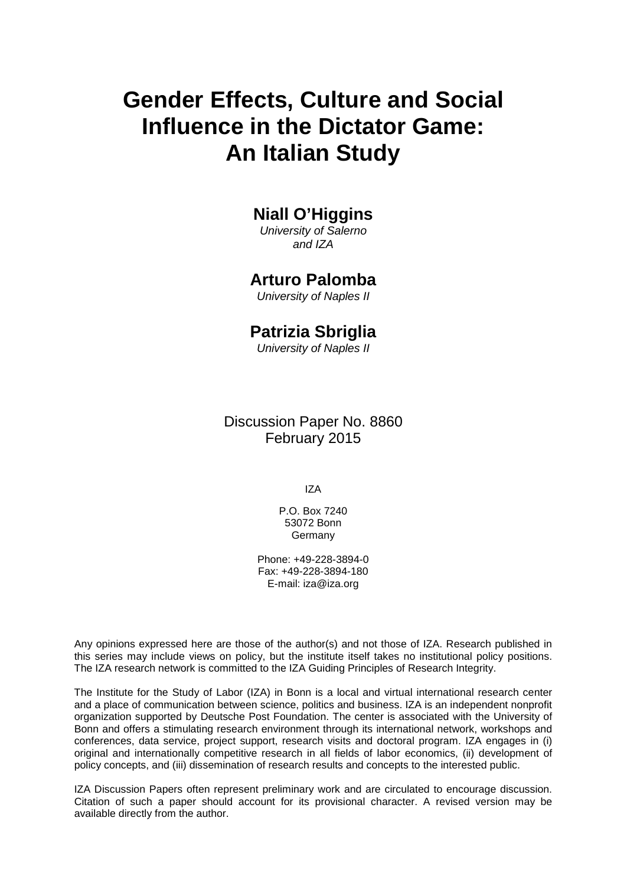# **Gender Effects, Culture and Social Influence in the Dictator Game: An Italian Study**

## **Niall O'Higgins**

*University of Salerno and IZA*

### **Arturo Palomba**

*University of Naples II*

### **Patrizia Sbriglia**

*University of Naples II*

Discussion Paper No. 8860 February 2015

IZA

P.O. Box 7240 53072 Bonn **Germany** 

Phone: +49-228-3894-0 Fax: +49-228-3894-180 E-mail: [iza@iza.org](mailto:iza@iza.org)

Any opinions expressed here are those of the author(s) and not those of IZA. Research published in this series may include views on policy, but the institute itself takes no institutional policy positions. The IZA research network is committed to the IZA Guiding Principles of Research Integrity.

The Institute for the Study of Labor (IZA) in Bonn is a local and virtual international research center and a place of communication between science, politics and business. IZA is an independent nonprofit organization supported by Deutsche Post Foundation. The center is associated with the University of Bonn and offers a stimulating research environment through its international network, workshops and conferences, data service, project support, research visits and doctoral program. IZA engages in (i) original and internationally competitive research in all fields of labor economics, (ii) development of policy concepts, and (iii) dissemination of research results and concepts to the interested public.

IZA Discussion Papers often represent preliminary work and are circulated to encourage discussion. Citation of such a paper should account for its provisional character. A revised version may be available directly from the author.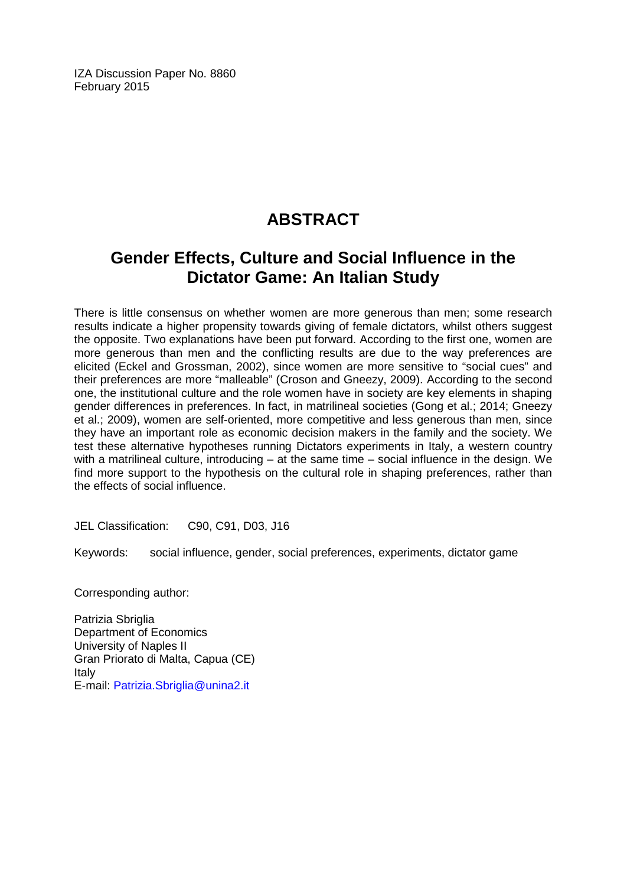IZA Discussion Paper No. 8860 February 2015

# **ABSTRACT**

# **Gender Effects, Culture and Social Influence in the Dictator Game: An Italian Study**

There is little consensus on whether women are more generous than men; some research results indicate a higher propensity towards giving of female dictators, whilst others suggest the opposite. Two explanations have been put forward. According to the first one, women are more generous than men and the conflicting results are due to the way preferences are elicited (Eckel and Grossman, 2002), since women are more sensitive to "social cues" and their preferences are more "malleable" (Croson and Gneezy, 2009). According to the second one, the institutional culture and the role women have in society are key elements in shaping gender differences in preferences. In fact, in matrilineal societies (Gong et al.; 2014; Gneezy et al.; 2009), women are self-oriented, more competitive and less generous than men, since they have an important role as economic decision makers in the family and the society. We test these alternative hypotheses running Dictators experiments in Italy, a western country with a matrilineal culture, introducing – at the same time – social influence in the design. We find more support to the hypothesis on the cultural role in shaping preferences, rather than the effects of social influence.

JEL Classification: C90, C91, D03, J16

Keywords: social influence, gender, social preferences, experiments, dictator game

Corresponding author:

Patrizia Sbriglia Department of Economics University of Naples II Gran Priorato di Malta, Capua (CE) Italy E-mail: [Patrizia.Sbriglia@unina2.it](mailto:Patrizia.Sbriglia@unina2.it)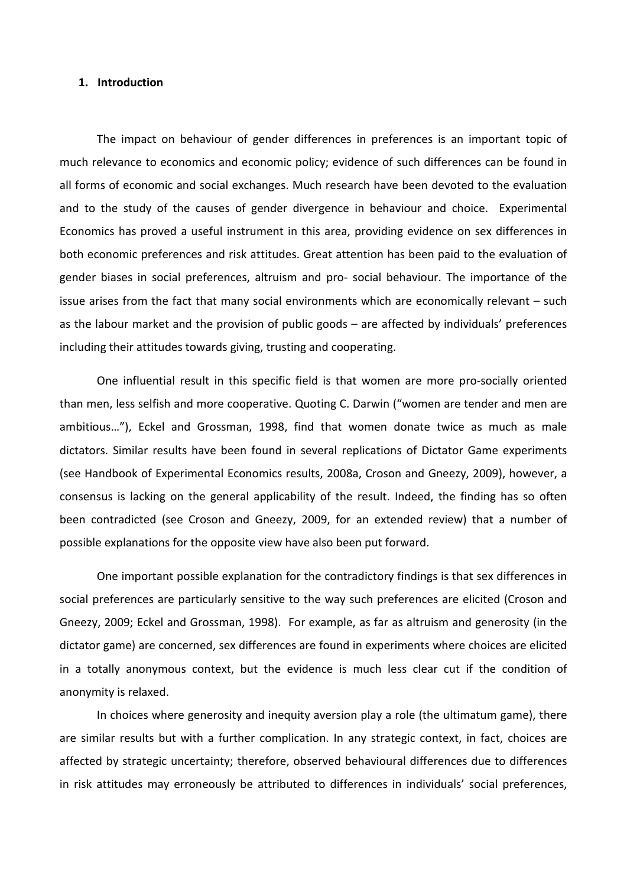#### **1. Introduction**

The impact on behaviour of gender differences in preferences is an important topic of much relevance to economics and economic policy; evidence of such differences can be found in all forms of economic and social exchanges. Much research have been devoted to the evaluation and to the study of the causes of gender divergence in behaviour and choice. Experimental Economics has proved a useful instrument in this area, providing evidence on sex differences in both economic preferences and risk attitudes. Great attention has been paid to the evaluation of gender biases in social preferences, altruism and pro- social behaviour. The importance of the issue arises from the fact that many social environments which are economically relevant – such as the labour market and the provision of public goods – are affected by individuals' preferences including their attitudes towards giving, trusting and cooperating.

One influential result in this specific field is that women are more pro-socially oriented than men, less selfish and more cooperative. Quoting C. Darwin ("women are tender and men are ambitious…"), Eckel and Grossman, 1998, find that women donate twice as much as male dictators. Similar results have been found in several replications of Dictator Game experiments (see Handbook of Experimental Economics results, 2008a, Croson and Gneezy, 2009), however, a consensus is lacking on the general applicability of the result. Indeed, the finding has so often been contradicted (see Croson and Gneezy, 2009, for an extended review) that a number of possible explanations for the opposite view have also been put forward.

One important possible explanation for the contradictory findings is that sex differences in social preferences are particularly sensitive to the way such preferences are elicited (Croson and Gneezy, 2009; Eckel and Grossman, 1998). For example, as far as altruism and generosity (in the dictator game) are concerned, sex differences are found in experiments where choices are elicited in a totally anonymous context, but the evidence is much less clear cut if the condition of anonymity is relaxed.

In choices where generosity and inequity aversion play a role (the ultimatum game), there are similar results but with a further complication. In any strategic context, in fact, choices are affected by strategic uncertainty; therefore, observed behavioural differences due to differences in risk attitudes may erroneously be attributed to differences in individuals' social preferences,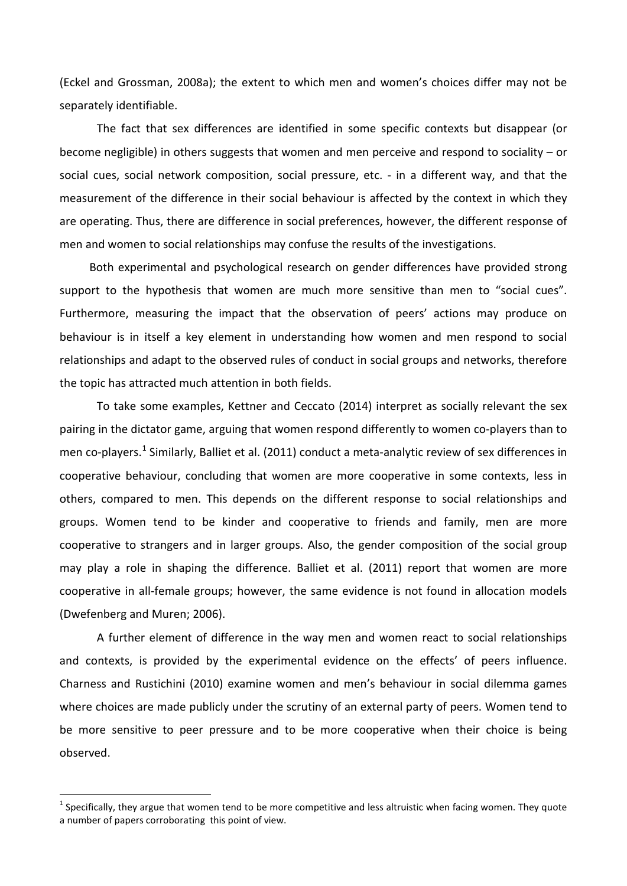(Eckel and Grossman, 2008a); the extent to which men and women's choices differ may not be separately identifiable.

The fact that sex differences are identified in some specific contexts but disappear (or become negligible) in others suggests that women and men perceive and respond to sociality – or social cues, social network composition, social pressure, etc. - in a different way, and that the measurement of the difference in their social behaviour is affected by the context in which they are operating. Thus, there are difference in social preferences, however, the different response of men and women to social relationships may confuse the results of the investigations.

Both experimental and psychological research on gender differences have provided strong support to the hypothesis that women are much more sensitive than men to "social cues". Furthermore, measuring the impact that the observation of peers' actions may produce on behaviour is in itself a key element in understanding how women and men respond to social relationships and adapt to the observed rules of conduct in social groups and networks, therefore the topic has attracted much attention in both fields.

To take some examples, Kettner and Ceccato (2014) interpret as socially relevant the sex pairing in the dictator game, arguing that women respond differently to women co-players than to men co-players.<sup>1</sup> Similarly, Balliet et al. (2011) conduct a meta-analytic review of sex differences in cooperative behaviour, concluding that women are more cooperative in some contexts, less in others, compared to men. This depends on the different response to social relationships and groups. Women tend to be kinder and cooperative to friends and family, men are more cooperative to strangers and in larger groups. Also, the gender composition of the social group may play a role in shaping the difference. Balliet et al. (2011) report that women are more cooperative in all-female groups; however, the same evidence is not found in allocation models (Dwefenberg and Muren; 2006).

A further element of difference in the way men and women react to social relationships and contexts, is provided by the experimental evidence on the effects' of peers influence. Charness and Rustichini (2010) examine women and men's behaviour in social dilemma games where choices are made publicly under the scrutiny of an external party of peers. Women tend to be more sensitive to peer pressure and to be more cooperative when their choice is being observed.

<span id="page-4-0"></span> $<sup>1</sup>$  Specifically, they argue that women tend to be more competitive and less altruistic when facing women. They quote</sup> a number of papers corroborating this point of view.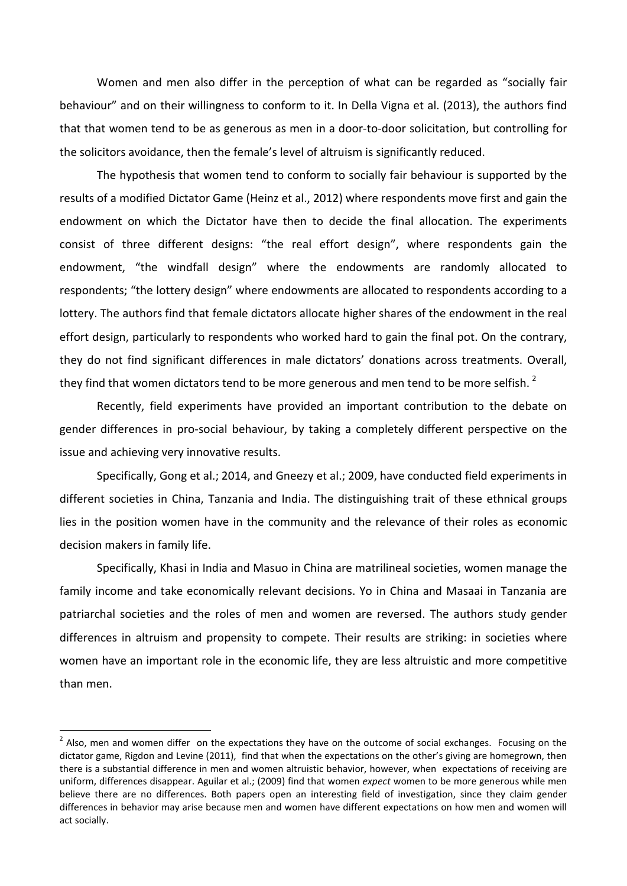Women and men also differ in the perception of what can be regarded as "socially fair behaviour" and on their willingness to conform to it. In Della Vigna et al. (2013), the authors find that that women tend to be as generous as men in a door-to-door solicitation, but controlling for the solicitors avoidance, then the female's level of altruism is significantly reduced.

The hypothesis that women tend to conform to socially fair behaviour is supported by the results of a modified Dictator Game (Heinz et al., 2012) where respondents move first and gain the endowment on which the Dictator have then to decide the final allocation. The experiments consist of three different designs: "the real effort design", where respondents gain the endowment, "the windfall design" where the endowments are randomly allocated to respondents; "the lottery design" where endowments are allocated to respondents according to a lottery. The authors find that female dictators allocate higher shares of the endowment in the real effort design, particularly to respondents who worked hard to gain the final pot. On the contrary, they do not find significant differences in male dictators' donations across treatments. Overall, they find that women dictators tend to be more generous and men tend to be more selfish.  $2$ 

Recently, field experiments have provided an important contribution to the debate on gender differences in pro-social behaviour, by taking a completely different perspective on the issue and achieving very innovative results.

Specifically, Gong et al.; 2014, and Gneezy et al.; 2009, have conducted field experiments in different societies in China, Tanzania and India. The distinguishing trait of these ethnical groups lies in the position women have in the community and the relevance of their roles as economic decision makers in family life.

Specifically, Khasi in India and Masuo in China are matrilineal societies, women manage the family income and take economically relevant decisions. Yo in China and Masaai in Tanzania are patriarchal societies and the roles of men and women are reversed. The authors study gender differences in altruism and propensity to compete. Their results are striking: in societies where women have an important role in the economic life, they are less altruistic and more competitive than men.

<span id="page-5-0"></span> $2$  Also, men and women differ on the expectations they have on the outcome of social exchanges. Focusing on the dictator game, Rigdon and Levine (2011), find that when the expectations on the other's giving are homegrown, then there is a substantial difference in men and women altruistic behavior, however, when expectations of receiving are uniform, differences disappear. Aguilar et al.; (2009) find that women *expect* women to be more generous while men believe there are no differences. Both papers open an interesting field of investigation, since they claim gender differences in behavior may arise because men and women have different expectations on how men and women will act socially.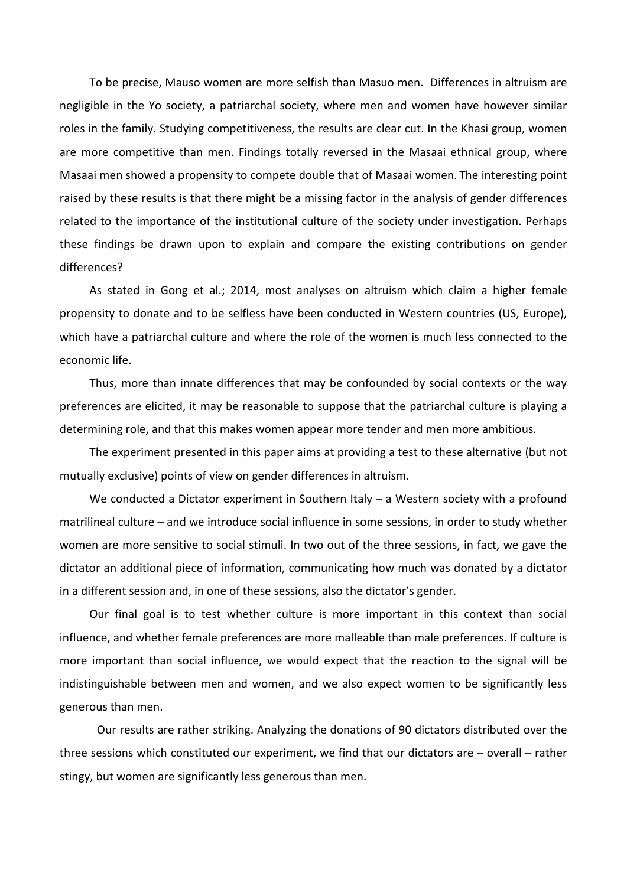To be precise, Mauso women are more selfish than Masuo men. Differences in altruism are negligible in the Yo society, a patriarchal society, where men and women have however similar roles in the family. Studying competitiveness, the results are clear cut. In the Khasi group, women are more competitive than men. Findings totally reversed in the Masaai ethnical group, where Masaai men showed a propensity to compete double that of Masaai women. The interesting point raised by these results is that there might be a missing factor in the analysis of gender differences related to the importance of the institutional culture of the society under investigation. Perhaps these findings be drawn upon to explain and compare the existing contributions on gender differences?

As stated in Gong et al.; 2014, most analyses on altruism which claim a higher female propensity to donate and to be selfless have been conducted in Western countries (US, Europe), which have a patriarchal culture and where the role of the women is much less connected to the economic life.

Thus, more than innate differences that may be confounded by social contexts or the way preferences are elicited, it may be reasonable to suppose that the patriarchal culture is playing a determining role, and that this makes women appear more tender and men more ambitious.

The experiment presented in this paper aims at providing a test to these alternative (but not mutually exclusive) points of view on gender differences in altruism.

We conducted a Dictator experiment in Southern Italy – a Western society with a profound matrilineal culture – and we introduce social influence in some sessions, in order to study whether women are more sensitive to social stimuli. In two out of the three sessions, in fact, we gave the dictator an additional piece of information, communicating how much was donated by a dictator in a different session and, in one of these sessions, also the dictator's gender.

Our final goal is to test whether culture is more important in this context than social influence, and whether female preferences are more malleable than male preferences. If culture is more important than social influence, we would expect that the reaction to the signal will be indistinguishable between men and women, and we also expect women to be significantly less generous than men.

Our results are rather striking. Analyzing the donations of 90 dictators distributed over the three sessions which constituted our experiment, we find that our dictators are – overall – rather stingy, but women are significantly less generous than men.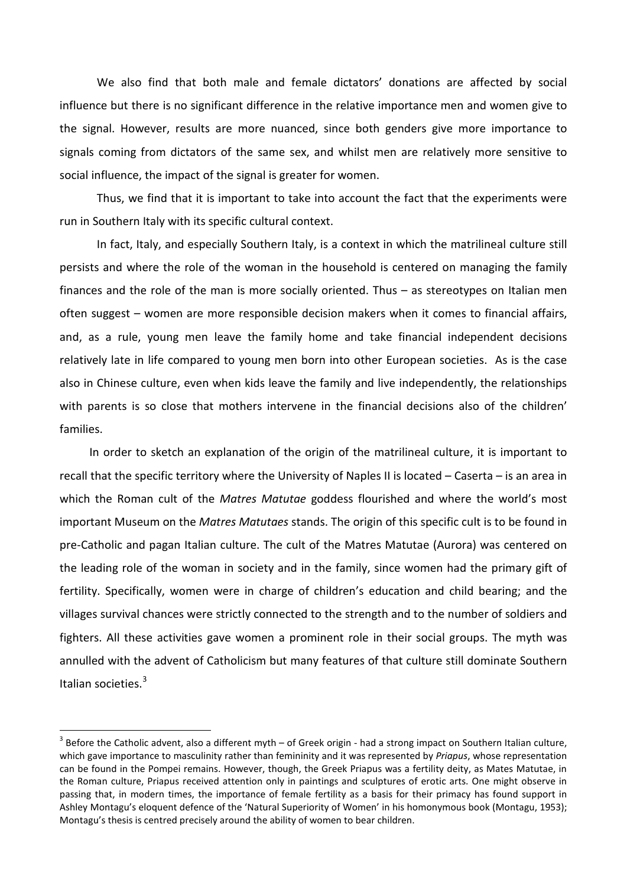We also find that both male and female dictators' donations are affected by social influence but there is no significant difference in the relative importance men and women give to the signal. However, results are more nuanced, since both genders give more importance to signals coming from dictators of the same sex, and whilst men are relatively more sensitive to social influence, the impact of the signal is greater for women.

Thus, we find that it is important to take into account the fact that the experiments were run in Southern Italy with its specific cultural context.

In fact, Italy, and especially Southern Italy, is a context in which the matrilineal culture still persists and where the role of the woman in the household is centered on managing the family finances and the role of the man is more socially oriented. Thus – as stereotypes on Italian men often suggest – women are more responsible decision makers when it comes to financial affairs, and, as a rule, young men leave the family home and take financial independent decisions relatively late in life compared to young men born into other European societies. As is the case also in Chinese culture, even when kids leave the family and live independently, the relationships with parents is so close that mothers intervene in the financial decisions also of the children' families.

In order to sketch an explanation of the origin of the matrilineal culture, it is important to recall that the specific territory where the University of Naples II is located – Caserta – is an area in which the Roman cult of the *Matres Matutae* goddess flourished and where the world's most important Museum on the *Matres Matutaes* stands. The origin of this specific cult is to be found in pre-Catholic and pagan Italian culture. The cult of the Matres Matutae (Aurora) was centered on the leading role of the woman in society and in the family, since women had the primary gift of fertility. Specifically, women were in charge of children's education and child bearing; and the villages survival chances were strictly connected to the strength and to the number of soldiers and fighters. All these activities gave women a prominent role in their social groups. The myth was annulled with the advent of Catholicism but many features of that culture still dominate Southern Italian societies.[3](#page-5-0)

<span id="page-7-0"></span> $3$  Before the Catholic advent, also a different myth – of Greek origin - had a strong impact on Southern Italian culture, which gave importance to masculinity rather than femininity and it was represented by *Priapus*, whose representation can be found in the Pompei remains. However, though, the Greek Priapus was a fertility deity, as Mates Matutae, in the Roman culture, Priapus received attention only in paintings and sculptures of erotic arts. One might observe in passing that, in modern times, the importance of female fertility as a basis for their primacy has found support in Ashley Montagu's eloquent defence of the 'Natural Superiority of Women' in his homonymous book (Montagu, 1953); Montagu's thesis is centred precisely around the ability of women to bear children.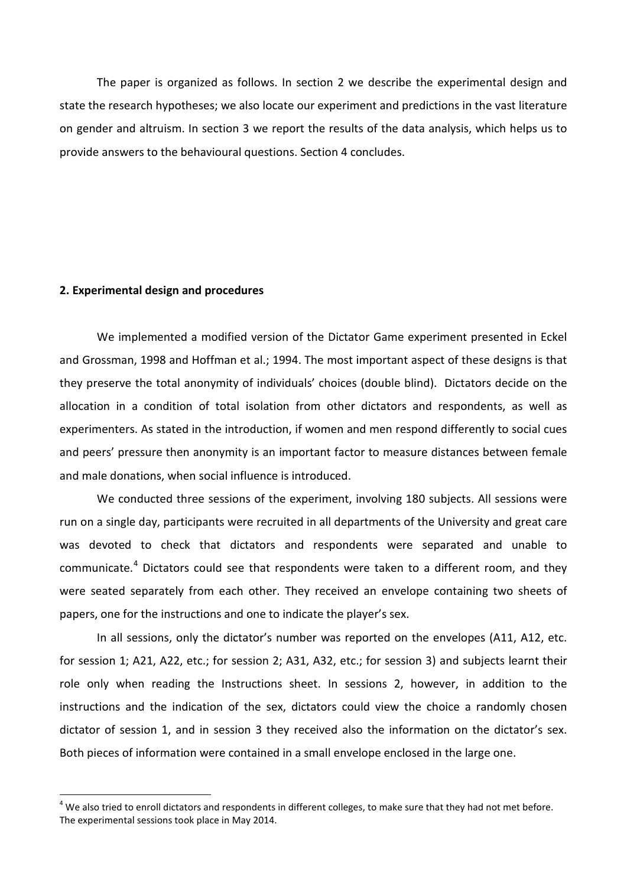The paper is organized as follows. In section 2 we describe the experimental design and state the research hypotheses; we also locate our experiment and predictions in the vast literature on gender and altruism. In section 3 we report the results of the data analysis, which helps us to provide answers to the behavioural questions. Section 4 concludes.

#### **2. Experimental design and procedures**

We implemented a modified version of the Dictator Game experiment presented in Eckel and Grossman, 1998 and Hoffman et al.; 1994. The most important aspect of these designs is that they preserve the total anonymity of individuals' choices (double blind). Dictators decide on the allocation in a condition of total isolation from other dictators and respondents, as well as experimenters. As stated in the introduction, if women and men respond differently to social cues and peers' pressure then anonymity is an important factor to measure distances between female and male donations, when social influence is introduced.

We conducted three sessions of the experiment, involving 180 subjects. All sessions were run on a single day, participants were recruited in all departments of the University and great care was devoted to check that dictators and respondents were separated and unable to communicate.<sup>[4](#page-7-0)</sup> Dictators could see that respondents were taken to a different room, and they were seated separately from each other. They received an envelope containing two sheets of papers, one for the instructions and one to indicate the player's sex.

In all sessions, only the dictator's number was reported on the envelopes (A11, A12, etc. for session 1; A21, A22, etc.; for session 2; A31, A32, etc.; for session 3) and subjects learnt their role only when reading the Instructions sheet. In sessions 2, however, in addition to the instructions and the indication of the sex, dictators could view the choice a randomly chosen dictator of session 1, and in session 3 they received also the information on the dictator's sex. Both pieces of information were contained in a small envelope enclosed in the large one.

<span id="page-8-0"></span> $4$  We also tried to enroll dictators and respondents in different colleges, to make sure that they had not met before. The experimental sessions took place in May 2014.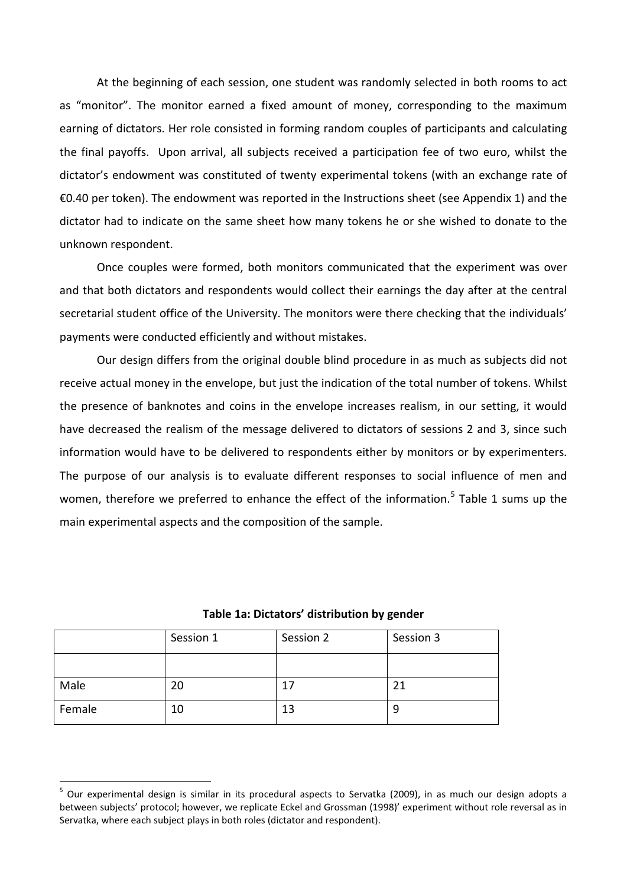At the beginning of each session, one student was randomly selected in both rooms to act as "monitor". The monitor earned a fixed amount of money, corresponding to the maximum earning of dictators. Her role consisted in forming random couples of participants and calculating the final payoffs. Upon arrival, all subjects received a participation fee of two euro, whilst the dictator's endowment was constituted of twenty experimental tokens (with an exchange rate of €0.40 per token). The endowment was reported in the Instructions sheet (see Appendix 1) and the dictator had to indicate on the same sheet how many tokens he or she wished to donate to the unknown respondent.

Once couples were formed, both monitors communicated that the experiment was over and that both dictators and respondents would collect their earnings the day after at the central secretarial student office of the University. The monitors were there checking that the individuals' payments were conducted efficiently and without mistakes.

Our design differs from the original double blind procedure in as much as subjects did not receive actual money in the envelope, but just the indication of the total number of tokens. Whilst the presence of banknotes and coins in the envelope increases realism, in our setting, it would have decreased the realism of the message delivered to dictators of sessions 2 and 3, since such information would have to be delivered to respondents either by monitors or by experimenters. The purpose of our analysis is to evaluate different responses to social influence of men and women, therefore we preferred to enhance the effect of the information.<sup>[5](#page-8-0)</sup> Table 1 sums up the main experimental aspects and the composition of the sample.

|        | Session 1 | Session 2 | Session 3 |
|--------|-----------|-----------|-----------|
|        |           |           |           |
| Male   | 20        | 17        | 21        |
| Female | 10        | 13        | 9         |

**Table 1a: Dictators' distribution by gender**

<span id="page-9-0"></span><sup>&</sup>lt;sup>5</sup> Our experimental design is similar in its procedural aspects to Servatka (2009), in as much our design adopts a between subjects' protocol; however, we replicate Eckel and Grossman (1998)' experiment without role reversal as in Servatka, where each subject plays in both roles (dictator and respondent).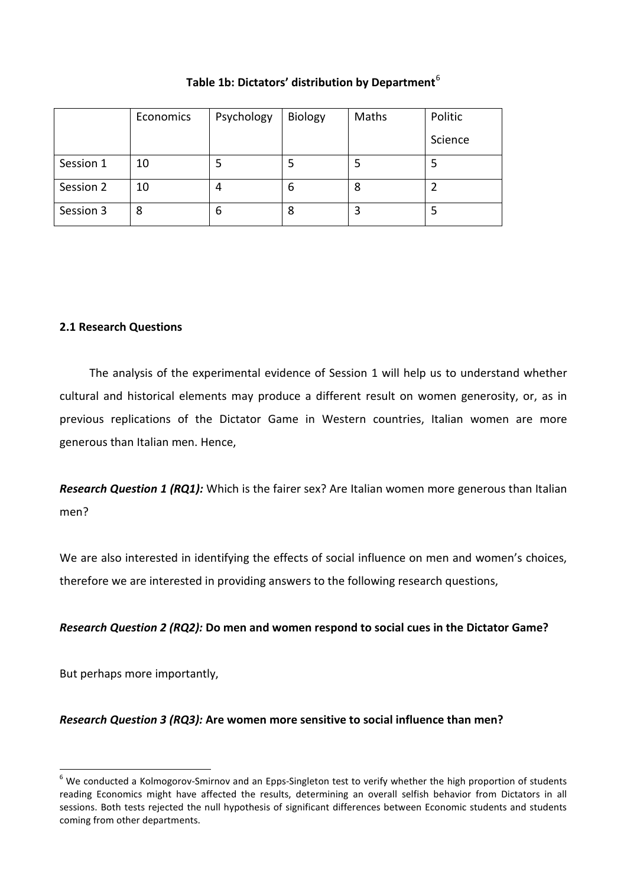### **Table 1b: Dictators' distribution by Department**[6](#page-9-0)

|           | Economics | Psychology | <b>Biology</b> | Maths | Politic |
|-----------|-----------|------------|----------------|-------|---------|
|           |           |            |                |       | Science |
| Session 1 | 10        |            |                | 5     |         |
| Session 2 | 10        | 4          | b              | 8     |         |
| Session 3 | 8         | 6          | 8              | 3     |         |

#### **2.1 Research Questions**

The analysis of the experimental evidence of Session 1 will help us to understand whether cultural and historical elements may produce a different result on women generosity, or, as in previous replications of the Dictator Game in Western countries, Italian women are more generous than Italian men. Hence,

*Research Question 1 (RQ1):* Which is the fairer sex? Are Italian women more generous than Italian men?

We are also interested in identifying the effects of social influence on men and women's choices, therefore we are interested in providing answers to the following research questions,

### *Research Question 2 (RQ2):* **Do men and women respond to social cues in the Dictator Game?**

But perhaps more importantly,

### *Research Question 3 (RQ3):* **Are women more sensitive to social influence than men?**

<span id="page-10-0"></span> $6$  We conducted a Kolmogorov-Smirnov and an Epps-Singleton test to verify whether the high proportion of students reading Economics might have affected the results, determining an overall selfish behavior from Dictators in all sessions. Both tests rejected the null hypothesis of significant differences between Economic students and students coming from other departments.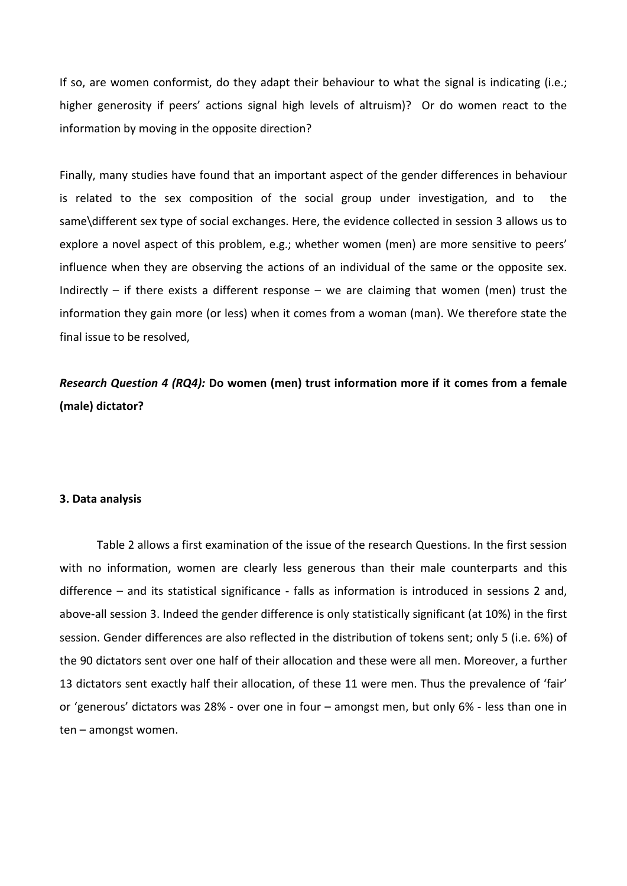If so, are women conformist, do they adapt their behaviour to what the signal is indicating (i.e.; higher generosity if peers' actions signal high levels of altruism)? Or do women react to the information by moving in the opposite direction?

Finally, many studies have found that an important aspect of the gender differences in behaviour is related to the sex composition of the social group under investigation, and to the same\different sex type of social exchanges. Here, the evidence collected in session 3 allows us to explore a novel aspect of this problem, e.g.; whether women (men) are more sensitive to peers' influence when they are observing the actions of an individual of the same or the opposite sex. Indirectly – if there exists a different response – we are claiming that women (men) trust the information they gain more (or less) when it comes from a woman (man). We therefore state the final issue to be resolved,

# *Research Question 4 (RQ4):* **Do women (men) trust information more if it comes from a female (male) dictator?**

#### **3. Data analysis**

Table 2 allows a first examination of the issue of the research Questions. In the first session with no information, women are clearly less generous than their male counterparts and this difference – and its statistical significance - falls as information is introduced in sessions 2 and, above-all session 3. Indeed the gender difference is only statistically significant (at 10%) in the first session. Gender differences are also reflected in the distribution of tokens sent; only 5 (i.e. 6%) of the 90 dictators sent over one half of their allocation and these were all men. Moreover, a further 13 dictators sent exactly half their allocation, of these 11 were men. Thus the prevalence of 'fair' or 'generous' dictators was 28% - over one in four – amongst men, but only 6% - less than one in ten – amongst women.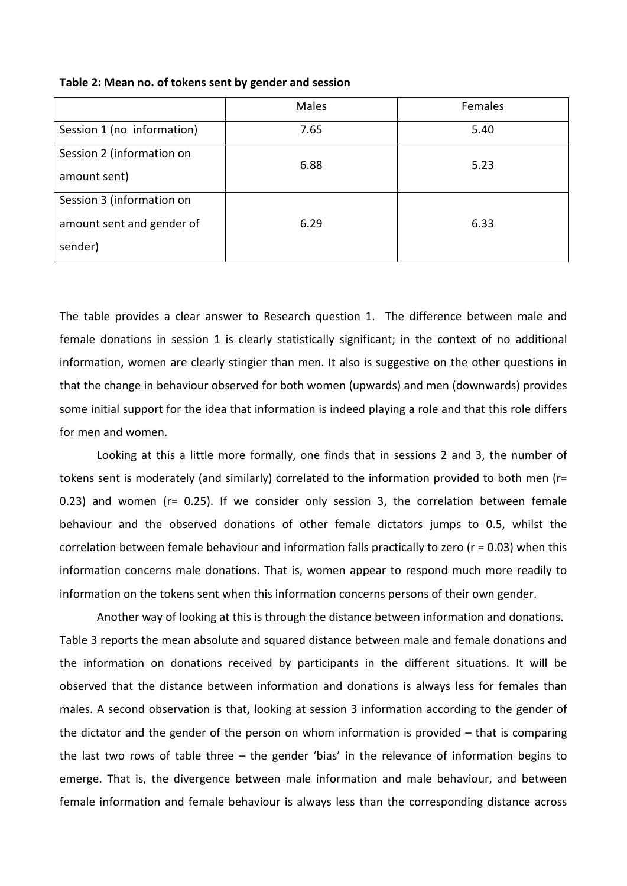|                            | Males | Females |
|----------------------------|-------|---------|
| Session 1 (no information) | 7.65  | 5.40    |
| Session 2 (information on  | 6.88  | 5.23    |
| amount sent)               |       |         |
| Session 3 (information on  |       |         |
| amount sent and gender of  | 6.29  | 6.33    |
| sender)                    |       |         |

**Table 2: Mean no. of tokens sent by gender and session**

The table provides a clear answer to Research question 1. The difference between male and female donations in session 1 is clearly statistically significant; in the context of no additional information, women are clearly stingier than men. It also is suggestive on the other questions in that the change in behaviour observed for both women (upwards) and men (downwards) provides some initial support for the idea that information is indeed playing a role and that this role differs for men and women.

Looking at this a little more formally, one finds that in sessions 2 and 3, the number of tokens sent is moderately (and similarly) correlated to the information provided to both men (r= 0.23) and women (r= 0.25). If we consider only session 3, the correlation between female behaviour and the observed donations of other female dictators jumps to 0.5, whilst the correlation between female behaviour and information falls practically to zero (r = 0.03) when this information concerns male donations. That is, women appear to respond much more readily to information on the tokens sent when this information concerns persons of their own gender.

Another way of looking at this is through the distance between information and donations. Table 3 reports the mean absolute and squared distance between male and female donations and the information on donations received by participants in the different situations. It will be observed that the distance between information and donations is always less for females than males. A second observation is that, looking at session 3 information according to the gender of the dictator and the gender of the person on whom information is provided – that is comparing the last two rows of table three – the gender 'bias' in the relevance of information begins to emerge. That is, the divergence between male information and male behaviour, and between female information and female behaviour is always less than the corresponding distance across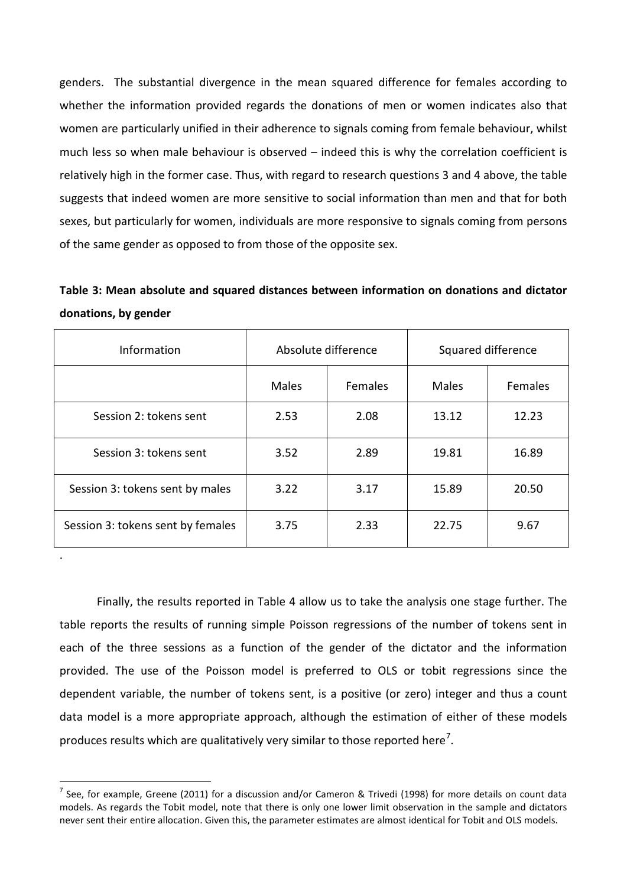genders. The substantial divergence in the mean squared difference for females according to whether the information provided regards the donations of men or women indicates also that women are particularly unified in their adherence to signals coming from female behaviour, whilst much less so when male behaviour is observed – indeed this is why the correlation coefficient is relatively high in the former case. Thus, with regard to research questions 3 and 4 above, the table suggests that indeed women are more sensitive to social information than men and that for both sexes, but particularly for women, individuals are more responsive to signals coming from persons of the same gender as opposed to from those of the opposite sex.

**Table 3: Mean absolute and squared distances between information on donations and dictator donations, by gender**

| <b>Information</b>                | Absolute difference |         | Squared difference |         |
|-----------------------------------|---------------------|---------|--------------------|---------|
|                                   | Males               | Females | Males              | Females |
| Session 2: tokens sent            | 2.53                | 2.08    | 13.12              | 12.23   |
| Session 3: tokens sent            | 3.52                | 2.89    | 19.81              | 16.89   |
| Session 3: tokens sent by males   | 3.22                | 3.17    | 15.89              | 20.50   |
| Session 3: tokens sent by females | 3.75                | 2.33    | 22.75              | 9.67    |

.

Finally, the results reported in Table 4 allow us to take the analysis one stage further. The table reports the results of running simple Poisson regressions of the number of tokens sent in each of the three sessions as a function of the gender of the dictator and the information provided. The use of the Poisson model is preferred to OLS or tobit regressions since the dependent variable, the number of tokens sent, is a positive (or zero) integer and thus a count data model is a more appropriate approach, although the estimation of either of these models produces results which are qualitatively very similar to those reported here<sup>[7](#page-10-0)</sup>.

 $<sup>7</sup>$  See. for example, Greene (2011) for a discussion and/or Cameron & Trivedi (1998) for more details on count data</sup> models. As regards the Tobit model, note that there is only one lower limit observation in the sample and dictators never sent their entire allocation. Given this, the parameter estimates are almost identical for Tobit and OLS models.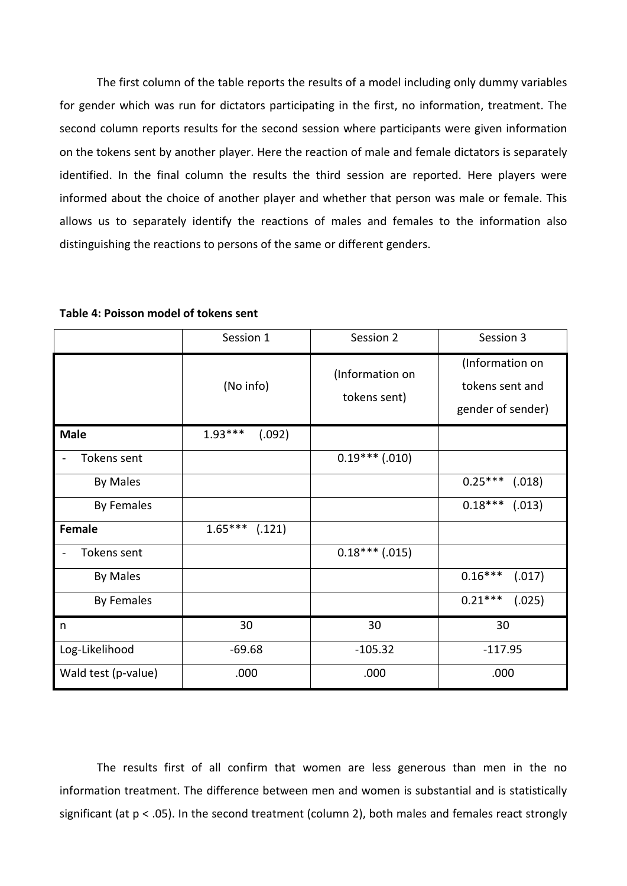The first column of the table reports the results of a model including only dummy variables for gender which was run for dictators participating in the first, no information, treatment. The second column reports results for the second session where participants were given information on the tokens sent by another player. Here the reaction of male and female dictators is separately identified. In the final column the results the third session are reported. Here players were informed about the choice of another player and whether that person was male or female. This allows us to separately identify the reactions of males and females to the information also distinguishing the reactions to persons of the same or different genders.

|                     | Session 1           | Session 2                       | Session 3                                               |
|---------------------|---------------------|---------------------------------|---------------------------------------------------------|
|                     | (No info)           | (Information on<br>tokens sent) | (Information on<br>tokens sent and<br>gender of sender) |
| <b>Male</b>         | $1.93***$<br>(.092) |                                 |                                                         |
| Tokens sent         |                     | $0.19***$ (.010)                |                                                         |
| <b>By Males</b>     |                     |                                 | $0.25***$<br>(.018)                                     |
| <b>By Females</b>   |                     |                                 | $0.18***$<br>(.013)                                     |
| <b>Female</b>       | $1.65***$ (.121)    |                                 |                                                         |
| Tokens sent         |                     | $0.18***$ (.015)                |                                                         |
| <b>By Males</b>     |                     |                                 | $0.16***$<br>(.017)                                     |
| <b>By Females</b>   |                     |                                 | $0.21***$<br>(.025)                                     |
| n                   | 30                  | 30                              | 30                                                      |
| Log-Likelihood      | $-69.68$            | $-105.32$                       | $-117.95$                                               |
| Wald test (p-value) | .000                | .000                            | .000                                                    |

**Table 4: Poisson model of tokens sent**

The results first of all confirm that women are less generous than men in the no information treatment. The difference between men and women is substantial and is statistically significant (at p < .05). In the second treatment (column 2), both males and females react strongly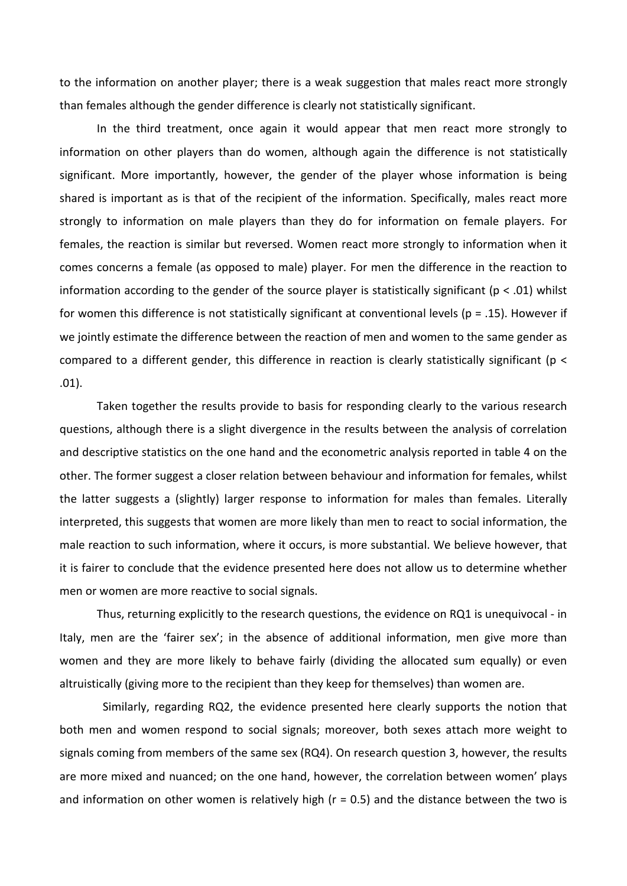to the information on another player; there is a weak suggestion that males react more strongly than females although the gender difference is clearly not statistically significant.

In the third treatment, once again it would appear that men react more strongly to information on other players than do women, although again the difference is not statistically significant. More importantly, however, the gender of the player whose information is being shared is important as is that of the recipient of the information. Specifically, males react more strongly to information on male players than they do for information on female players. For females, the reaction is similar but reversed. Women react more strongly to information when it comes concerns a female (as opposed to male) player. For men the difference in the reaction to information according to the gender of the source player is statistically significant ( $p < .01$ ) whilst for women this difference is not statistically significant at conventional levels ( $p = .15$ ). However if we jointly estimate the difference between the reaction of men and women to the same gender as compared to a different gender, this difference in reaction is clearly statistically significant (p < .01).

Taken together the results provide to basis for responding clearly to the various research questions, although there is a slight divergence in the results between the analysis of correlation and descriptive statistics on the one hand and the econometric analysis reported in table 4 on the other. The former suggest a closer relation between behaviour and information for females, whilst the latter suggests a (slightly) larger response to information for males than females. Literally interpreted, this suggests that women are more likely than men to react to social information, the male reaction to such information, where it occurs, is more substantial. We believe however, that it is fairer to conclude that the evidence presented here does not allow us to determine whether men or women are more reactive to social signals.

Thus, returning explicitly to the research questions, the evidence on RQ1 is unequivocal - in Italy, men are the 'fairer sex'; in the absence of additional information, men give more than women and they are more likely to behave fairly (dividing the allocated sum equally) or even altruistically (giving more to the recipient than they keep for themselves) than women are.

Similarly, regarding RQ2, the evidence presented here clearly supports the notion that both men and women respond to social signals; moreover, both sexes attach more weight to signals coming from members of the same sex (RQ4). On research question 3, however, the results are more mixed and nuanced; on the one hand, however, the correlation between women' plays and information on other women is relatively high  $(r = 0.5)$  and the distance between the two is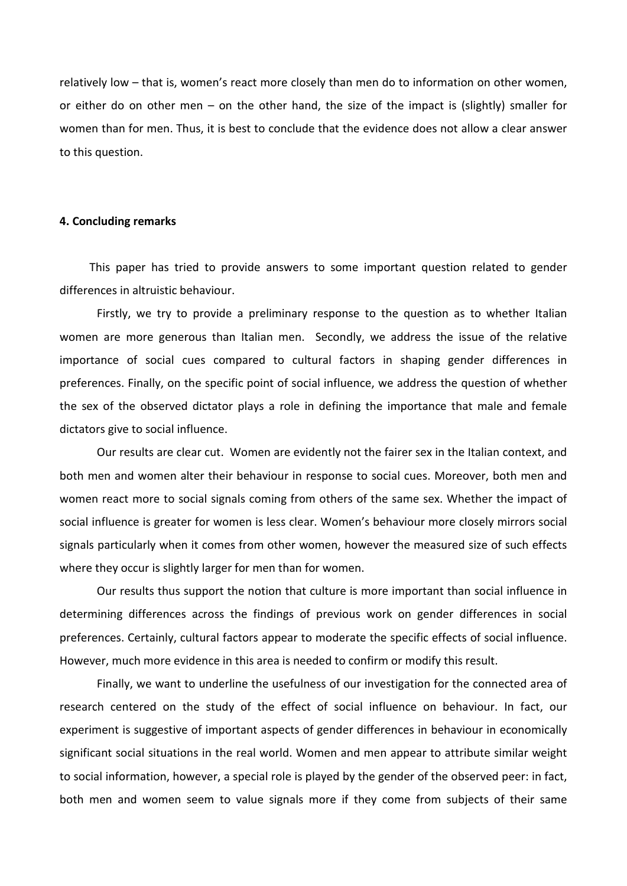relatively low – that is, women's react more closely than men do to information on other women, or either do on other men – on the other hand, the size of the impact is (slightly) smaller for women than for men. Thus, it is best to conclude that the evidence does not allow a clear answer to this question.

#### **4. Concluding remarks**

This paper has tried to provide answers to some important question related to gender differences in altruistic behaviour.

Firstly, we try to provide a preliminary response to the question as to whether Italian women are more generous than Italian men. Secondly, we address the issue of the relative importance of social cues compared to cultural factors in shaping gender differences in preferences. Finally, on the specific point of social influence, we address the question of whether the sex of the observed dictator plays a role in defining the importance that male and female dictators give to social influence.

Our results are clear cut. Women are evidently not the fairer sex in the Italian context, and both men and women alter their behaviour in response to social cues. Moreover, both men and women react more to social signals coming from others of the same sex. Whether the impact of social influence is greater for women is less clear. Women's behaviour more closely mirrors social signals particularly when it comes from other women, however the measured size of such effects where they occur is slightly larger for men than for women.

Our results thus support the notion that culture is more important than social influence in determining differences across the findings of previous work on gender differences in social preferences. Certainly, cultural factors appear to moderate the specific effects of social influence. However, much more evidence in this area is needed to confirm or modify this result.

Finally, we want to underline the usefulness of our investigation for the connected area of research centered on the study of the effect of social influence on behaviour. In fact, our experiment is suggestive of important aspects of gender differences in behaviour in economically significant social situations in the real world. Women and men appear to attribute similar weight to social information, however, a special role is played by the gender of the observed peer: in fact, both men and women seem to value signals more if they come from subjects of their same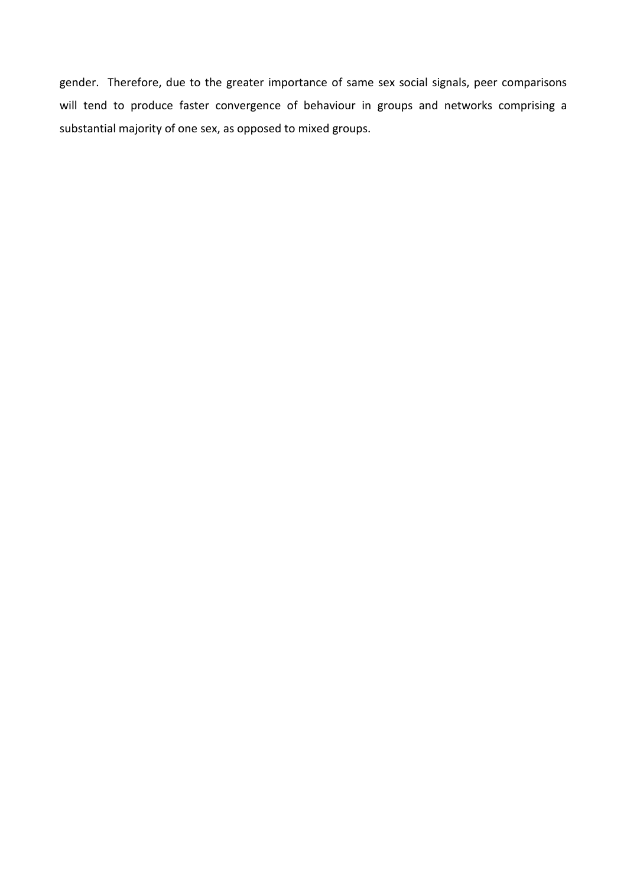gender. Therefore, due to the greater importance of same sex social signals, peer comparisons will tend to produce faster convergence of behaviour in groups and networks comprising a substantial majority of one sex, as opposed to mixed groups.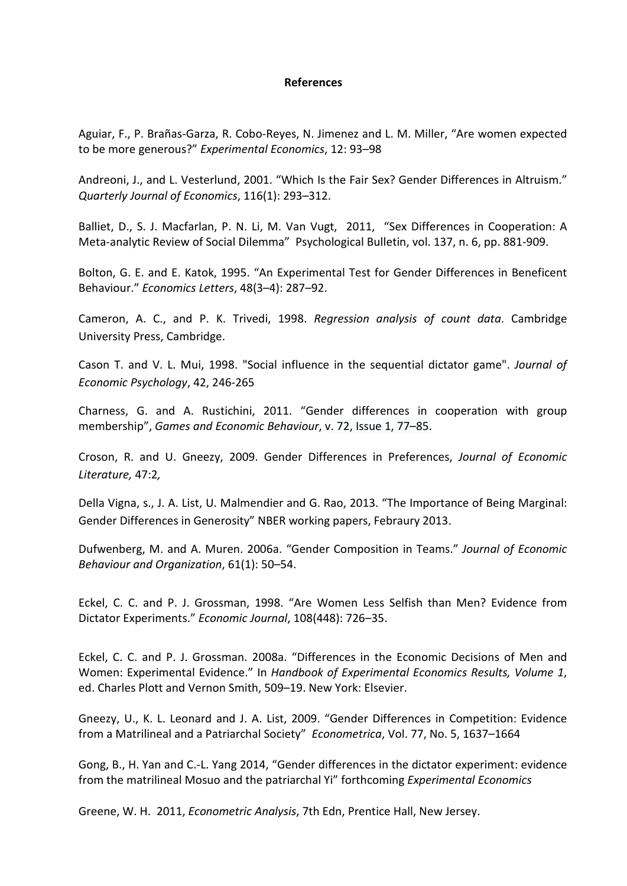#### **References**

Aguiar, F., P. Brañas-Garza, R. Cobo-Reyes, N. Jimenez and L. M. Miller, "Are women expected to be more generous?" *Experimental Economics*, 12: 93–98

Andreoni, J., and L. Vesterlund, 2001. "Which Is the Fair Sex? Gender Differences in Altruism." *Quarterly Journal of Economics*, 116(1): 293–312.

Balliet, D., S. J. Macfarlan, P. N. Li, M. Van Vugt, 2011, "Sex Differences in Cooperation: A Meta-analytic Review of Social Dilemma" Psychological Bulletin, vol. 137, n. 6, pp. 881-909.

Bolton, G. E. and E. Katok, 1995. "An Experimental Test for Gender Differences in Beneficent Behaviour." *Economics Letters*, 48(3–4): 287–92.

Cameron, A. C., and P. K. Trivedi, 1998. *Regression analysis of count data*. Cambridge University Press, Cambridge.

Cason T. and V. L. Mui, 1998. "Social influence in the sequential dictator game". *Journal of Economic Psychology*, 42, 246-265

Charness, G. and A. Rustichini, 2011. "Gender differences in cooperation with group membership", *Games and Economic Behaviour*, v. 72, [Issue](http://www.sciencedirect.com/science/journal/08998256/72/1) 1, 77–85.

Croson, R. and U. Gneezy, 2009. Gender Differences in Preferences, *Journal of Economic Literature,* 47:2*,*

Della Vigna, s., J. A. List, U. Malmendier and G. Rao, 2013. "The Importance of Being Marginal: Gender Differences in Generosity" NBER working papers, Febraury 2013.

Dufwenberg, M. and A. Muren. 2006a. "Gender Composition in Teams." *Journal of Economic Behaviour and Organization*, 61(1): 50–54.

Eckel, C. C. and P. J. Grossman, 1998. "Are Women Less Selfish than Men? Evidence from Dictator Experiments." *Economic Journal*, 108(448): 726–35.

Eckel, C. C. and P. J. Grossman. 2008a. "Differences in the Economic Decisions of Men and Women: Experimental Evidence." In *Handbook of Experimental Economics Results, Volume 1*, ed. Charles Plott and Vernon Smith, 509–19. New York: Elsevier.

Gneezy, U., K. L. Leonard and J. A. List, 2009. "Gender Differences in Competition: Evidence from a Matrilineal and a Patriarchal Society" *Econometrica*, Vol. 77, No. 5, 1637–1664

Gong, B., H. Yan and C.-L. Yang 2014, "Gender differences in the dictator experiment: evidence from the matrilineal Mosuo and the patriarchal Yi" forthcoming *Experimental Economics*

Greene, W. H. 2011, *Econometric Analysis*, 7th Edn, Prentice Hall, New Jersey.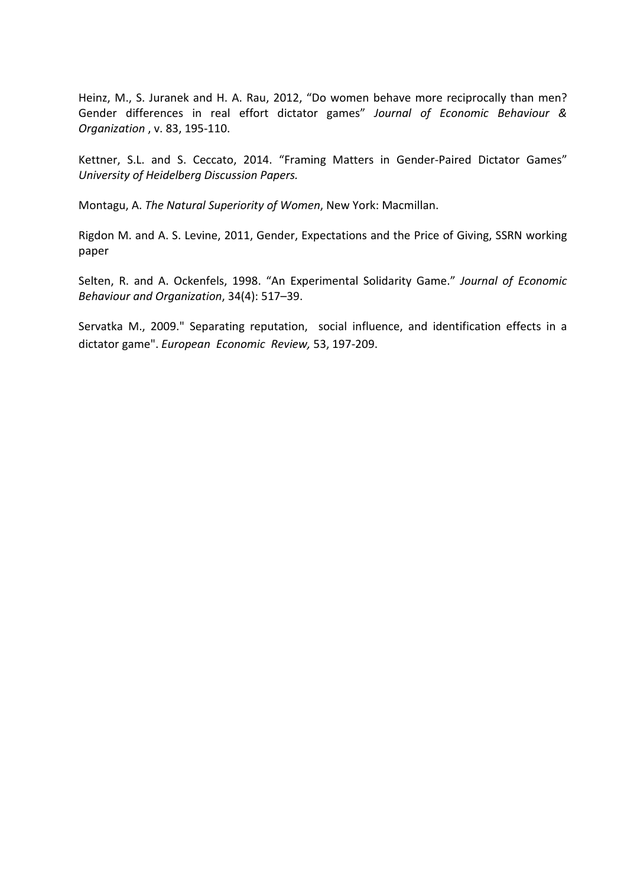Heinz, M., S. Juranek and H. A. Rau, 2012, "Do women behave more reciprocally than men? Gender differences in real effort dictator games" *Journal of Economic Behaviour & Organization* , v. 83, 195-110.

Kettner, S.L. and S. Ceccato, 2014. "Framing Matters in Gender-Paired Dictator Games" *University of Heidelberg Discussion Papers.*

Montagu, A. *The Natural Superiority of Women*, New York: Macmillan.

Rigdon M. and A. S. Levine, 2011, Gender, Expectations and the Price of Giving, SSRN working paper

Selten, R. and A. Ockenfels, 1998. "An Experimental Solidarity Game." *Journal of Economic Behaviour and Organization*, 34(4): 517–39.

Servatka M., 2009." Separating reputation, social influence, and identification effects in a dictator game". *European Economic Review,* 53, 197-209.